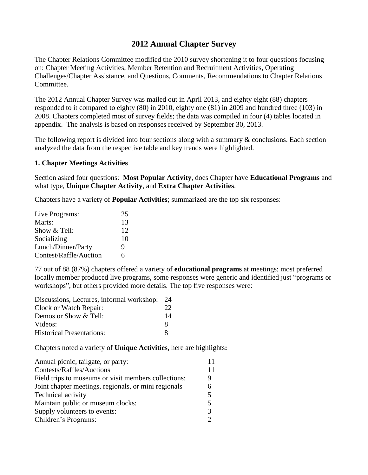# **2012 Annual Chapter Survey**

The Chapter Relations Committee modified the 2010 survey shortening it to four questions focusing on: Chapter Meeting Activities, Member Retention and Recruitment Activities, Operating Challenges/Chapter Assistance, and Questions, Comments, Recommendations to Chapter Relations Committee.

The 2012 Annual Chapter Survey was mailed out in April 2013, and eighty eight (88) chapters responded to it compared to eighty (80) in 2010, eighty one (81) in 2009 and hundred three (103) in 2008. Chapters completed most of survey fields; the data was compiled in four (4) tables located in appendix. The analysis is based on responses received by September 30, 2013.

The following report is divided into four sections along with a summary & conclusions. Each section analyzed the data from the respective table and key trends were highlighted.

### **1. Chapter Meetings Activities**

Section asked four questions: **Most Popular Activity**, does Chapter have **Educational Programs** and what type, **Unique Chapter Activity**, and **Extra Chapter Activities**.

Chapters have a variety of **Popular Activities**; summarized are the top six responses:

| Live Programs:         | 25 |
|------------------------|----|
| Marts:                 | 13 |
| Show & Tell:           | 12 |
| Socializing            | 10 |
| Lunch/Dinner/Party     | 9  |
| Contest/Raffle/Auction | 6  |

77 out of 88 (87%) chapters offered a variety of **educational programs** at meetings; most preferred locally member produced live programs, some responses were generic and identified just "programs or workshops", but others provided more details. The top five responses were:

| Discussions, Lectures, informal workshop: 24 |    |
|----------------------------------------------|----|
| Clock or Watch Repair:                       | 22 |
| Demos or Show & Tell:                        | 14 |
| Videos:                                      | x. |
| <b>Historical Presentations:</b>             |    |

Chapters noted a variety of **Unique Activities,** here are highlights**:**

| Annual picnic, tailgate, or party:                   |    |
|------------------------------------------------------|----|
| Contests/Raffles/Auctions                            | 11 |
| Field trips to museums or visit members collections: |    |
| Joint chapter meetings, regionals, or mini regionals | 6  |
| Technical activity                                   | 5  |
| Maintain public or museum clocks:                    | 5  |
| Supply volunteers to events:                         | 3  |
| Children's Programs:                                 |    |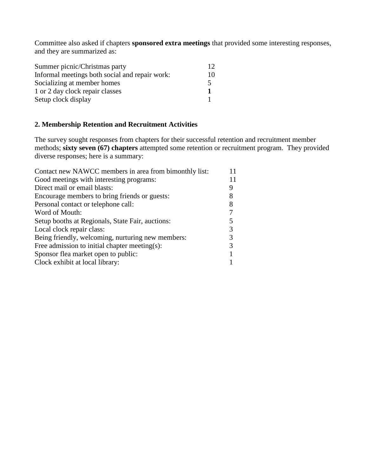Committee also asked if chapters **sponsored extra meetings** that provided some interesting responses, and they are summarized as:

| Summer picnic/Christmas party                  | 12 |
|------------------------------------------------|----|
| Informal meetings both social and repair work: | 10 |
| Socializing at member homes                    | 5  |
| 1 or 2 day clock repair classes                |    |
| Setup clock display                            |    |

### **2. Membership Retention and Recruitment Activities**

The survey sought responses from chapters for their successful retention and recruitment member methods; **sixty seven (67) chapters** attempted some retention or recruitment program. They provided diverse responses; here is a summary:

| Good meetings with interesting programs:<br>Direct mail or email blasts:<br>Encourage members to bring friends or guests:<br>Personal contact or telephone call:<br>Word of Mouth:<br>Setup booths at Regionals, State Fair, auctions:<br>Local clock repair class:<br>Being friendly, welcoming, nurturing new members:<br>Free admission to initial chapter meeting(s):<br>Sponsor flea market open to public:<br>Clock exhibit at local library: | Contact new NAWCC members in area from bimonthly list: | 11 |
|-----------------------------------------------------------------------------------------------------------------------------------------------------------------------------------------------------------------------------------------------------------------------------------------------------------------------------------------------------------------------------------------------------------------------------------------------------|--------------------------------------------------------|----|
|                                                                                                                                                                                                                                                                                                                                                                                                                                                     |                                                        | 11 |
|                                                                                                                                                                                                                                                                                                                                                                                                                                                     |                                                        |    |
|                                                                                                                                                                                                                                                                                                                                                                                                                                                     |                                                        |    |
|                                                                                                                                                                                                                                                                                                                                                                                                                                                     |                                                        |    |
|                                                                                                                                                                                                                                                                                                                                                                                                                                                     |                                                        |    |
|                                                                                                                                                                                                                                                                                                                                                                                                                                                     |                                                        |    |
|                                                                                                                                                                                                                                                                                                                                                                                                                                                     |                                                        |    |
|                                                                                                                                                                                                                                                                                                                                                                                                                                                     |                                                        |    |
|                                                                                                                                                                                                                                                                                                                                                                                                                                                     |                                                        |    |
|                                                                                                                                                                                                                                                                                                                                                                                                                                                     |                                                        |    |
|                                                                                                                                                                                                                                                                                                                                                                                                                                                     |                                                        |    |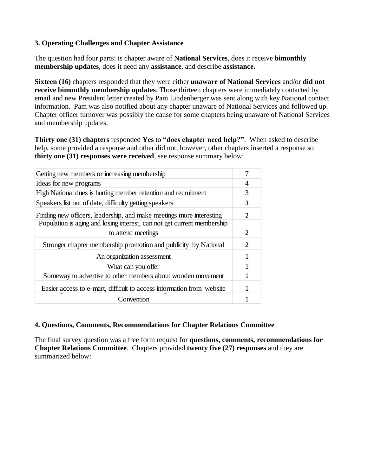# **3. Operating Challenges and Chapter Assistance**

The question had four parts: is chapter aware of **National Services**, does it receive **bimonthly membership updates**, does it need any **assistance**, and describe **assistance.** 

**Sixteen (16)** chapters responded that they were either **unaware of National Services** and/or **did not receive bimonthly membership updates**. Those thirteen chapters were immediately contacted by email and new President letter created by Pam Lindenberger was sent along with key National contact information. Pam was also notified about any chapter unaware of National Services and followed up. Chapter officer turnover was possibly the cause for some chapters being unaware of National Services and membership updates.

**Thirty one (31) chapters** responded **Yes** to **"does chapter need help?"**.When asked to describe help, some provided a response and other did not, however, other chapters inserted a response so **thirty one (31) responses were received**, see response summary below:

| Getting new members or increasing membership                            |               |
|-------------------------------------------------------------------------|---------------|
| Ideas for new programs                                                  | 4             |
| High National dues is hurting member retention and recruitment          | 3             |
| Speakers list out of date, difficulty getting speakers                  | 3             |
| Finding new officers, leadership, and make meetings more interesting    |               |
| Population is aging and losing interest, can not get current membership |               |
| to attend meetings                                                      | 2             |
| Stronger chapter membership promotion and publicity by National         | $\mathcal{P}$ |
| An organization assessment                                              | 1             |
| What can you offer                                                      | 1             |
| Someway to advertise to other members about wooden movement             |               |
| Easier access to e-mart, difficult to access information from website   | 1             |
| Convention                                                              |               |

# **4. Questions, Comments, Recommendations for Chapter Relations Committee**

The final survey question was a free form request for **questions, comments, recommendations for Chapter Relations Committee**. Chapters provided **twenty five (27) responses** and they are summarized below: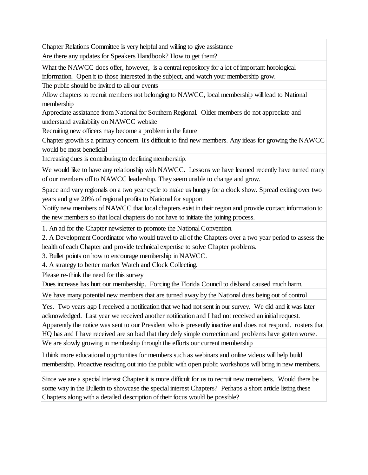Chapter Relations Committee is very helpful and willing to give assistance

Are there any updates for Speakers Handbook? How to get them?

What the NAWCC does offer, however, is a central repository for a lot of important horological information. Open it to those interested in the subject, and watch your membership grow.

The public should be invited to all our events

Allow chapters to recruit members not belonging to NAWCC, local membership will lead to National membership

Appreciate assiatance from National for Southern Regional. Older members do not appreciate and understand availability on NAWCC website

Recruiting new officers may become a problem in the future

Chapter growth is a primary concern. It's difficult to find new members. Any ideas for growing the NAWCC would be most beneficial

Increasing dues is contributing to declining membership.

We would like to have any relationship with NAWCC. Lessons we have learned recently have turned many of our members off to NAWCC leadership. They seem unable to change and grow.

Space and vary regionals on a two year cycle to make us hungry for a clock show. Spread exiting over two years and give 20% of regional profits to National for support

Notify new members of NAWCC that local chapters exist in their region and provide contact information to the new members so that local chapters do not have to initiate the joining process.

1. An ad for the Chapter newsletter to promote the National Convention.

2. A Development Coordinator who would travel to all of the Chapters over a two year period to assess the health of each Chapter and provide technical expertise to solve Chapter problems.

3. Bullet points on how to encourage membership in NAWCC.

4. A strategy to better market Watch and Clock Collecting.

Please re-think the need for this survey

Dues increase has hurt our membership. Forcing the Florida Council to disband caused much harm.

We have many potential new members that are turned away by the National dues being out of control

Yes. Two years ago I received a notification that we had not sent in our survey. We did and it was later acknowledged. Last year we received another notification and I had not received an initial request. Apparently the notice was sent to our President who is presently inactive and does not respond. rosters that HQ has and I have received are so bad that they defy simple correction and problems have gotten worse. We are slowly growing in membeship through the efforts our current membership

I think more educational opprtunities for members such as webinars and online videos will help build membership. Proactive reaching out into the public with open public workshops will bring in new members.

Since we are a special interest Chapter it is more difficult for us to recruit new memebers. Would there be some way in the Bulletin to showcase the special interest Chapters? Perhaps a short article listing these Chapters along with a detailed description of their focus would be possible?